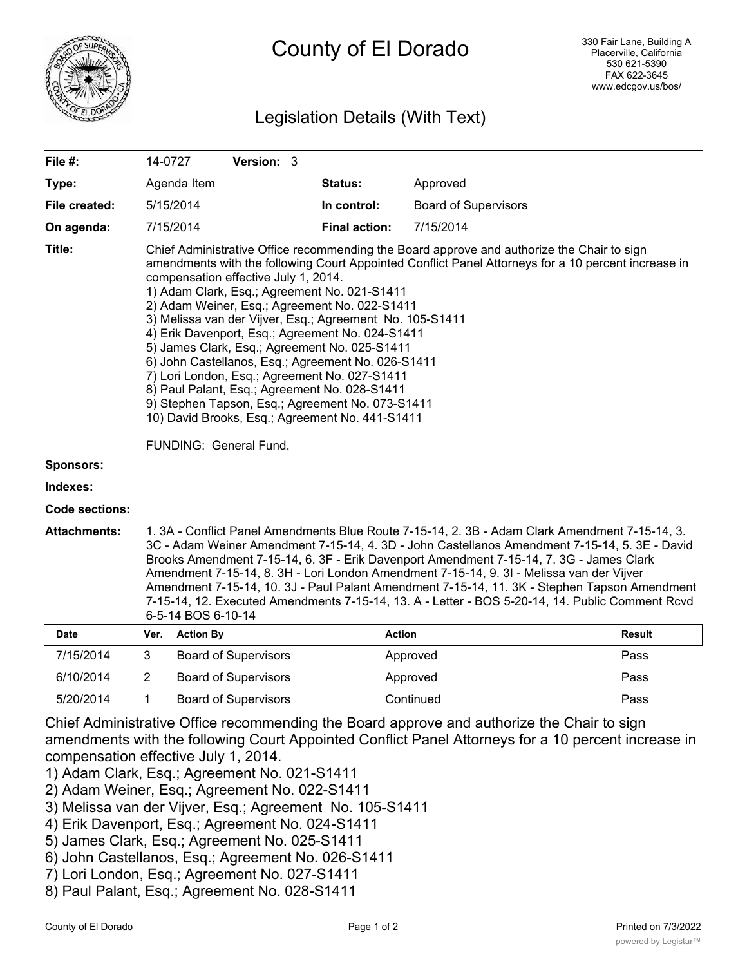

## County of El Dorado

## Legislation Details (With Text)

| File #:               |                                                                                                                                                                                                                                                                                                                                                                                                                                                                                                                                                                                                                                                                                                                                                                                                      | 14-0727          | Version: 3                  |                      |                             |               |
|-----------------------|------------------------------------------------------------------------------------------------------------------------------------------------------------------------------------------------------------------------------------------------------------------------------------------------------------------------------------------------------------------------------------------------------------------------------------------------------------------------------------------------------------------------------------------------------------------------------------------------------------------------------------------------------------------------------------------------------------------------------------------------------------------------------------------------------|------------------|-----------------------------|----------------------|-----------------------------|---------------|
| Type:                 |                                                                                                                                                                                                                                                                                                                                                                                                                                                                                                                                                                                                                                                                                                                                                                                                      | Agenda Item      |                             | Status:              | Approved                    |               |
| File created:         |                                                                                                                                                                                                                                                                                                                                                                                                                                                                                                                                                                                                                                                                                                                                                                                                      | 5/15/2014        |                             | In control:          | <b>Board of Supervisors</b> |               |
| On agenda:            |                                                                                                                                                                                                                                                                                                                                                                                                                                                                                                                                                                                                                                                                                                                                                                                                      | 7/15/2014        |                             | <b>Final action:</b> | 7/15/2014                   |               |
| Title:                | Chief Administrative Office recommending the Board approve and authorize the Chair to sign<br>amendments with the following Court Appointed Conflict Panel Attorneys for a 10 percent increase in<br>compensation effective July 1, 2014.<br>1) Adam Clark, Esq.; Agreement No. 021-S1411<br>2) Adam Weiner, Esq.; Agreement No. 022-S1411<br>3) Melissa van der Vijver, Esq.; Agreement No. 105-S1411<br>4) Erik Davenport, Esq.; Agreement No. 024-S1411<br>5) James Clark, Esq.; Agreement No. 025-S1411<br>6) John Castellanos, Esq.; Agreement No. 026-S1411<br>7) Lori London, Esq.; Agreement No. 027-S1411<br>8) Paul Palant, Esq.; Agreement No. 028-S1411<br>9) Stephen Tapson, Esq.; Agreement No. 073-S1411<br>10) David Brooks, Esq.; Agreement No. 441-S1411<br>FUNDING: General Fund. |                  |                             |                      |                             |               |
| <b>Sponsors:</b>      |                                                                                                                                                                                                                                                                                                                                                                                                                                                                                                                                                                                                                                                                                                                                                                                                      |                  |                             |                      |                             |               |
| Indexes:              |                                                                                                                                                                                                                                                                                                                                                                                                                                                                                                                                                                                                                                                                                                                                                                                                      |                  |                             |                      |                             |               |
| <b>Code sections:</b> |                                                                                                                                                                                                                                                                                                                                                                                                                                                                                                                                                                                                                                                                                                                                                                                                      |                  |                             |                      |                             |               |
| <b>Attachments:</b>   | 1. 3A - Conflict Panel Amendments Blue Route 7-15-14, 2. 3B - Adam Clark Amendment 7-15-14, 3.<br>3C - Adam Weiner Amendment 7-15-14, 4. 3D - John Castellanos Amendment 7-15-14, 5. 3E - David<br>Brooks Amendment 7-15-14, 6. 3F - Erik Davenport Amendment 7-15-14, 7. 3G - James Clark<br>Amendment 7-15-14, 8. 3H - Lori London Amendment 7-15-14, 9. 3I - Melissa van der Vijver<br>Amendment 7-15-14, 10. 3J - Paul Palant Amendment 7-15-14, 11. 3K - Stephen Tapson Amendment<br>7-15-14, 12. Executed Amendments 7-15-14, 13. A - Letter - BOS 5-20-14, 14. Public Comment Rcvd<br>6-5-14 BOS 6-10-14                                                                                                                                                                                      |                  |                             |                      |                             |               |
| <b>Date</b>           | Ver.                                                                                                                                                                                                                                                                                                                                                                                                                                                                                                                                                                                                                                                                                                                                                                                                 | <b>Action By</b> |                             |                      | <b>Action</b>               | <b>Result</b> |
| 7/15/2014             | 3                                                                                                                                                                                                                                                                                                                                                                                                                                                                                                                                                                                                                                                                                                                                                                                                    |                  | <b>Board of Supervisors</b> |                      | Approved                    | Pass          |
| 6/10/2014             | $\overline{2}$                                                                                                                                                                                                                                                                                                                                                                                                                                                                                                                                                                                                                                                                                                                                                                                       |                  | <b>Board of Supervisors</b> |                      | Approved                    | Pass          |
| 5/20/2014             | 1                                                                                                                                                                                                                                                                                                                                                                                                                                                                                                                                                                                                                                                                                                                                                                                                    |                  | <b>Board of Supervisors</b> |                      | Continued                   | Pass          |

Chief Administrative Office recommending the Board approve and authorize the Chair to sign amendments with the following Court Appointed Conflict Panel Attorneys for a 10 percent increase in compensation effective July 1, 2014.

- 1) Adam Clark, Esq.; Agreement No. 021-S1411
- 2) Adam Weiner, Esq.; Agreement No. 022-S1411
- 3) Melissa van der Vijver, Esq.; Agreement No. 105-S1411
- 4) Erik Davenport, Esq.; Agreement No. 024-S1411
- 5) James Clark, Esq.; Agreement No. 025-S1411
- 6) John Castellanos, Esq.; Agreement No. 026-S1411
- 7) Lori London, Esq.; Agreement No. 027-S1411
- 8) Paul Palant, Esq.; Agreement No. 028-S1411